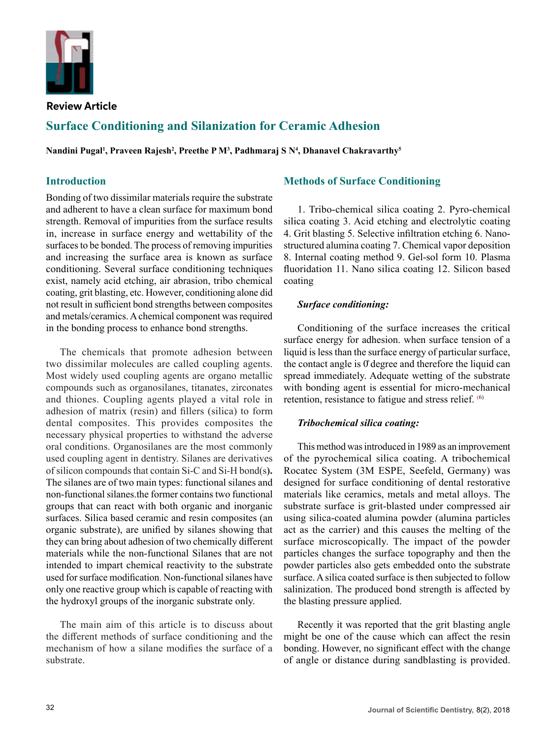

**Review Article Surface Conditioning and Silanization for Ceramic Adhesion**

**Nandini Pugal1 , Praveen Rajesh2 , Preethe P M3 , Padhmaraj S N4 , Dhanavel Chakravarthy5**

# **Introduction**

Bonding of two dissimilar materials require the substrate and adherent to have a clean surface for maximum bond strength. Removal of impurities from the surface results in, increase in surface energy and wettability of the surfaces to be bonded. The process of removing impurities and increasing the surface area is known as surface conditioning. Several surface conditioning techniques exist, namely acid etching, air abrasion, tribo chemical coating, grit blasting, etc. However, conditioning alone did not result in sufficient bond strengths between composites and metals/ceramics. A chemical component was required in the bonding process to enhance bond strengths.

The chemicals that promote adhesion between two dissimilar molecules are called coupling agents. Most widely used coupling agents are organo metallic compounds such as organosilanes, titanates, zirconates and thiones. Coupling agents played a vital role in adhesion of matrix (resin) and fillers (silica) to form dental composites. This provides composites the necessary physical properties to withstand the adverse oral conditions. Organosilanes are the most commonly used coupling agent in dentistry. Silanes are derivatives of silicon compounds that contain Si-C and Si-H bond(s**).**  The silanes are of two main types: functional silanes and non-functional silanes.the former contains two functional groups that can react with both organic and inorganic surfaces. Silica based ceramic and resin composites (an organic substrate), are unified by silanes showing that they can bring about adhesion of two chemically different materials while the non-functional Silanes that are not intended to impart chemical reactivity to the substrate used for surface modification. Non-functional silanes have only one reactive group which is capable of reacting with the hydroxyl groups of the inorganic substrate only.

The main aim of this article is to discuss about the different methods of surface conditioning and the mechanism of how a silane modifies the surface of a substrate.

# **Methods of Surface Conditioning**

1. Tribo-chemical silica coating 2. Pyro-chemical silica coating 3. Acid etching and electrolytic coating 4. Grit blasting 5. Selective infiltration etching 6. Nanostructured alumina coating 7. Chemical vapor deposition 8. Internal coating method 9. Gel-sol form 10. Plasma fluoridation 11. Nano silica coating 12. Silicon based coating

## *Surface conditioning:*

Conditioning of the surface increases the critical surface energy for adhesion. when surface tension of a liquid is less than the surface energy of particular surface, the contact angle is  $\theta$  degree and therefore the liquid can spread immediately. Adequate wetting of the substrate with bonding agent is essential for micro-mechanical retention, resistance to fatigue and stress relief. (6)

## *Tribochemical silica coating:*

This method was introduced in 1989 as an improvement of the pyrochemical silica coating. A tribochemical Rocatec System (3M ESPE, Seefeld, Germany) was designed for surface conditioning of dental restorative materials like ceramics, metals and metal alloys. The substrate surface is grit-blasted under compressed air using silica-coated alumina powder (alumina particles act as the carrier) and this causes the melting of the surface microscopically. The impact of the powder particles changes the surface topography and then the powder particles also gets embedded onto the substrate surface. A silica coated surface is then subjected to follow salinization. The produced bond strength is affected by the blasting pressure applied.

Recently it was reported that the grit blasting angle might be one of the cause which can affect the resin bonding. However, no significant effect with the change of angle or distance during sandblasting is provided.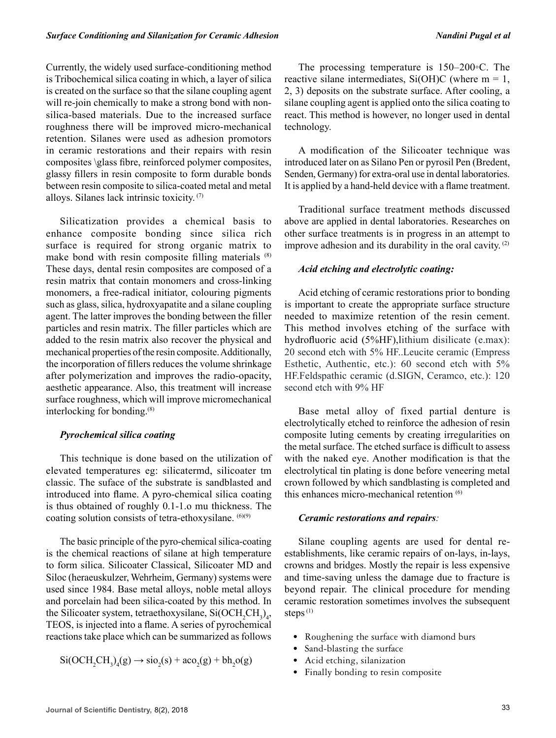Currently, the widely used surface-conditioning method is Tribochemical silica coating in which, a layer of silica is created on the surface so that the silane coupling agent will re-join chemically to make a strong bond with nonsilica-based materials. Due to the increased surface roughness there will be improved micro-mechanical retention. Silanes were used as adhesion promotors in ceramic restorations and their repairs with resin composites \glass fibre, reinforced polymer composites, glassy fillers in resin composite to form durable bonds between resin composite to silica-coated metal and metal alloys. Silanes lack intrinsic toxicity. (7)

Silicatization provides a chemical basis to enhance composite bonding since silica rich surface is required for strong organic matrix to make bond with resin composite filling materials (8) These days, dental resin composites are composed of a resin matrix that contain monomers and cross-linking monomers, a free-radical initiator, colouring pigments such as glass, silica, hydroxyapatite and a silane coupling agent. The latter improves the bonding between the filler particles and resin matrix. The filler particles which are added to the resin matrix also recover the physical and mechanical properties of the resin composite. Additionally, the incorporation of fillers reduces the volume shrinkage after polymerization and improves the radio-opacity, aesthetic appearance. Also, this treatment will increase surface roughness, which will improve micromechanical interlocking for bonding.(8)

#### *Pyrochemical silica coating*

This technique is done based on the utilization of elevated temperatures eg: silicatermd, silicoater tm classic. The suface of the substrate is sandblasted and introduced into flame. A pyro-chemical silica coating is thus obtained of roughly 0.1-1.o mu thickness. The coating solution consists of tetra-ethoxysilane.  $(6)(9)$ 

The basic principle of the pyro-chemical silica-coating is the chemical reactions of silane at high temperature to form silica. Silicoater Classical, Silicoater MD and Siloc (heraeuskulzer, Wehrheim, Germany) systems were used since 1984. Base metal alloys, noble metal alloys and porcelain had been silica-coated by this method. In the Silicoater system, tetraethoxysilane,  $Si(OCH_2CH_3)_4$ , TEOS, is injected into a flame. A series of pyrochemical reactions take place which can be summarized as follows

$$
Si(OCH_2CH_3)_4(g) \rightarrow iso_2(s) + acc_2(g) + bh_2o(g)
$$

The processing temperature is 150–200◦C. The reactive silane intermediates,  $Si(OH)C$  (where m = 1, 2, 3) deposits on the substrate surface. After cooling, a silane coupling agent is applied onto the silica coating to react. This method is however, no longer used in dental technology.

A modification of the Silicoater technique was introduced later on as Silano Pen or pyrosil Pen (Bredent, Senden, Germany) for extra-oral use in dental laboratories. It is applied by a hand-held device with a flame treatment.

Traditional surface treatment methods discussed above are applied in dental laboratories. Researches on other surface treatments is in progress in an attempt to improve adhesion and its durability in the oral cavity. (2)

#### *Acid etching and electrolytic coating:*

Acid etching of ceramic restorations prior to bonding is important to create the appropriate surface structure needed to maximize retention of the resin cement. This method involves etching of the surface with hydrofluoric acid (5%HF),lithium disilicate (e.max): 20 second etch with 5% HF..Leucite ceramic (Empress Esthetic, Authentic, etc.): 60 second etch with 5% HF.Feldspathic ceramic (d.SIGN, Ceramco, etc.): 120 second etch with 9% HF

Base metal alloy of fixed partial denture is electrolytically etched to reinforce the adhesion of resin composite luting cements by creating irregularities on the metal surface. The etched surface is difficult to assess with the naked eye. Another modification is that the electrolytical tin plating is done before veneering metal crown followed by which sandblasting is completed and this enhances micro-mechanical retention (6)

#### *Ceramic restorations and repairs:*

Silane coupling agents are used for dental reestablishments, like ceramic repairs of on-lays, in-lays, crowns and bridges. Mostly the repair is less expensive and time-saving unless the damage due to fracture is beyond repair. The clinical procedure for mending ceramic restoration sometimes involves the subsequent steps $(1)$ 

- **•**  Roughening the surface with diamond burs
- Sand-blasting the surface
- **•**  Acid etching, silanization
- **•**  Finally bonding to resin composite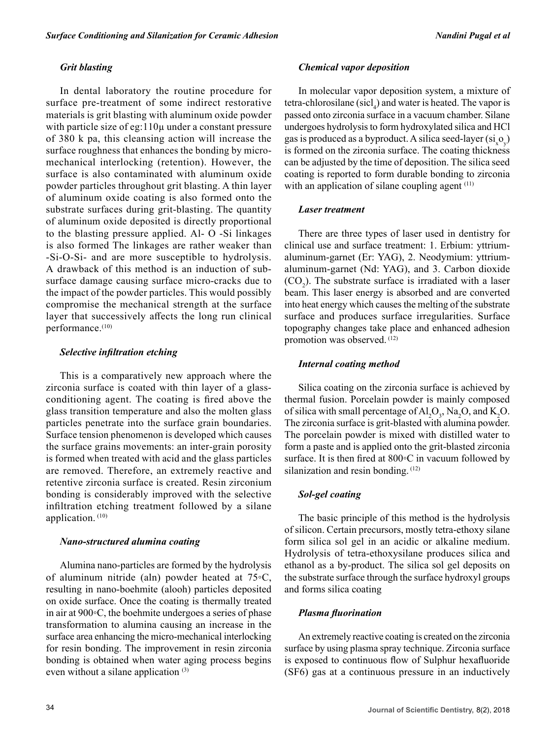# *Grit blasting*

In dental laboratory the routine procedure for surface pre-treatment of some indirect restorative materials is grit blasting with aluminum oxide powder with particle size of eg:110µ under a constant pressure of 380 k pa, this cleansing action will increase the surface roughness that enhances the bonding by micromechanical interlocking (retention). However, the surface is also contaminated with aluminum oxide powder particles throughout grit blasting. A thin layer of aluminum oxide coating is also formed onto the substrate surfaces during grit-blasting. The quantity of aluminum oxide deposited is directly proportional to the blasting pressure applied. Al- O -Si linkages is also formed The linkages are rather weaker than -Si-O-Si- and are more susceptible to hydrolysis. A drawback of this method is an induction of subsurface damage causing surface micro-cracks due to the impact of the powder particles. This would possibly compromise the mechanical strength at the surface layer that successively affects the long run clinical performance.<sup>(10)</sup>

## *Selective infiltration etching*

This is a comparatively new approach where the zirconia surface is coated with thin layer of a glassconditioning agent. The coating is fired above the glass transition temperature and also the molten glass particles penetrate into the surface grain boundaries. Surface tension phenomenon is developed which causes the surface grains movements: an inter-grain porosity is formed when treated with acid and the glass particles are removed. Therefore, an extremely reactive and retentive zirconia surface is created. Resin zirconium bonding is considerably improved with the selective infiltration etching treatment followed by a silane application. (10)

## *Nano-structured alumina coating*

Alumina nano-particles are formed by the hydrolysis of aluminum nitride (aln) powder heated at 75◦C, resulting in nano-boehmite (alooh) particles deposited on oxide surface. Once the coating is thermally treated in air at 900◦C, the boehmite undergoes a series of phase transformation to alumina causing an increase in the surface area enhancing the micro-mechanical interlocking for resin bonding. The improvement in resin zirconia bonding is obtained when water aging process begins even without a silane application <sup>(3)</sup>

## *Chemical vapor deposition*

In molecular vapor deposition system, a mixture of tetra-chlorosilane ( $\text{sicl}_4$ ) and water is heated. The vapor is passed onto zirconia surface in a vacuum chamber. Silane undergoes hydrolysis to form hydroxylated silica and HCl gas is produced as a byproduct. A silica seed-layer  $\left( \text{si}_x^{\phantom{\dag}} \text{o}_y \right)$ is formed on the zirconia surface. The coating thickness can be adjusted by the time of deposition. The silica seed coating is reported to form durable bonding to zirconia with an application of silane coupling agent <sup>(11)</sup>

## *Laser treatment*

There are three types of laser used in dentistry for clinical use and surface treatment: 1. Erbium: yttriumaluminum-garnet (Er: YAG), 2. Neodymium: yttriumaluminum-garnet (Nd: YAG), and 3. Carbon dioxide  $(CO<sub>2</sub>)$ . The substrate surface is irradiated with a laser beam. This laser energy is absorbed and are converted into heat energy which causes the melting of the substrate surface and produces surface irregularities. Surface topography changes take place and enhanced adhesion promotion was observed. (12)

## *Internal coating method*

Silica coating on the zirconia surface is achieved by thermal fusion. Porcelain powder is mainly composed of silica with small percentage of  $\text{Al}_2\text{O}_3$ ,  $\text{Na}_2\text{O}$ , and  $\text{K}_2\text{O}$ . The zirconia surface is grit-blasted with alumina powder. The porcelain powder is mixed with distilled water to form a paste and is applied onto the grit-blasted zirconia surface. It is then fired at 800◦C in vacuum followed by silanization and resin bonding. (12)

## *Sol-gel coating*

The basic principle of this method is the hydrolysis of silicon. Certain precursors, mostly tetra-ethoxy silane form silica sol gel in an acidic or alkaline medium. Hydrolysis of tetra-ethoxysilane produces silica and ethanol as a by-product. The silica sol gel deposits on the substrate surface through the surface hydroxyl groups and forms silica coating

## *Plasma fluorination*

An extremely reactive coating is created on the zirconia surface by using plasma spray technique. Zirconia surface is exposed to continuous flow of Sulphur hexafluoride (SF6) gas at a continuous pressure in an inductively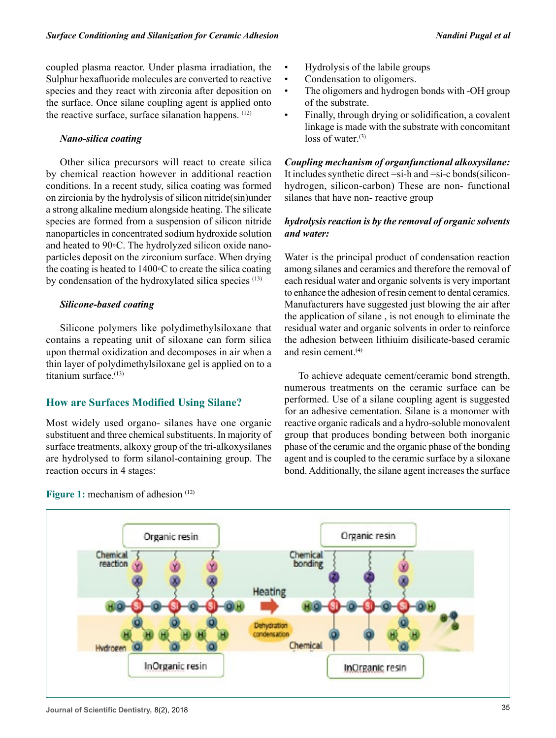coupled plasma reactor. Under plasma irradiation, the Sulphur hexafluoride molecules are converted to reactive species and they react with zirconia after deposition on the surface. Once silane coupling agent is applied onto the reactive surface, surface silanation happens. (12)

#### *Nano-silica coating*

Other silica precursors will react to create silica by chemical reaction however in additional reaction conditions. In a recent study, silica coating was formed on zircionia by the hydrolysis of silicon nitride(sin)under a strong alkaline medium alongside heating. The silicate species are formed from a suspension of silicon nitride nanoparticles in concentrated sodium hydroxide solution and heated to 90◦C. The hydrolyzed silicon oxide nanoparticles deposit on the zirconium surface. When drying the coating is heated to 1400◦C to create the silica coating by condensation of the hydroxylated silica species (13)

#### *Silicone-based coating*

Silicone polymers like polydimethylsiloxane that contains a repeating unit of siloxane can form silica upon thermal oxidization and decomposes in air when a thin layer of polydimethylsiloxane gel is applied on to a titanium surface.<sup>(13)</sup>

## **How are Surfaces Modified Using Silane?**

Most widely used organo- silanes have one organic substituent and three chemical substituents. In majority of surface treatments, alkoxy group of the tri-alkoxysilanes are hydrolysed to form silanol-containing group. The reaction occurs in 4 stages:

- Hydrolysis of the labile groups
- Condensation to oligomers.
- The oligomers and hydrogen bonds with -OH group of the substrate.
- Finally, through drying or solidification, a covalent linkage is made with the substrate with concomitant  $loss$  of water.<sup>(3)</sup>

*Coupling mechanism of organfunctional alkoxysilane:* It includes synthetic direct =si-h and =si-c bonds(siliconhydrogen, silicon-carbon) These are non- functional silanes that have non- reactive group

#### *hydrolysis reaction is by the removal of organic solvents and water:*

Water is the principal product of condensation reaction among silanes and ceramics and therefore the removal of each residual water and organic solvents is very important to enhance the adhesion of resin cement to dental ceramics. Manufacturers have suggested just blowing the air after the application of silane , is not enough to eliminate the residual water and organic solvents in order to reinforce the adhesion between lithiuim disilicate-based ceramic and resin cement.(4)

To achieve adequate cement/ceramic bond strength, numerous treatments on the ceramic surface can be performed. Use of a silane coupling agent is suggested for an adhesive cementation. Silane is a monomer with reactive organic radicals and a hydro-soluble monovalent group that produces bonding between both inorganic phase of the ceramic and the organic phase of the bonding agent and is coupled to the ceramic surface by a siloxane bond. Additionally, the silane agent increases the surface



#### **Figure 1:** mechanism of adhesion<sup>(12)</sup>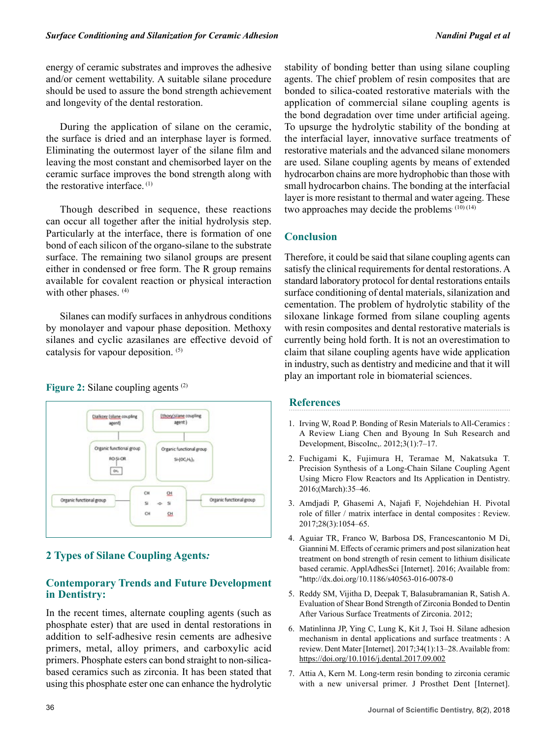energy of ceramic substrates and improves the adhesive and/or cement wettability. A suitable silane procedure should be used to assure the bond strength achievement and longevity of the dental restoration.

During the application of silane on the ceramic, the surface is dried and an interphase layer is formed. Eliminating the outermost layer of the silane film and leaving the most constant and chemisorbed layer on the ceramic surface improves the bond strength along with the restorative interface. (1)

Though described in sequence, these reactions can occur all together after the initial hydrolysis step. Particularly at the interface, there is formation of one bond of each silicon of the organo-silane to the substrate surface. The remaining two silanol groups are present either in condensed or free form. The R group remains available for covalent reaction or physical interaction with other phases.  $(4)$ 

Silanes can modify surfaces in anhydrous conditions by monolayer and vapour phase deposition. Methoxy silanes and cyclic azasilanes are effective devoid of catalysis for vapour deposition. (5)

**Figure 2:** Silane coupling agents (2)



# **2 Types of Silane Coupling Agents***:*

# **Contemporary Trends and Future Development in Dentistry:**

In the recent times, alternate coupling agents (such as phosphate ester) that are used in dental restorations in addition to self-adhesive resin cements are adhesive primers, metal, alloy primers, and carboxylic acid primers. Phosphate esters can bond straight to non-silicabased ceramics such as zirconia. It has been stated that using this phosphate ester one can enhance the hydrolytic stability of bonding better than using silane coupling agents. The chief problem of resin composites that are bonded to silica-coated restorative materials with the application of commercial silane coupling agents is the bond degradation over time under artificial ageing. To upsurge the hydrolytic stability of the bonding at the interfacial layer, innovative surface treatments of restorative materials and the advanced silane monomers are used. Silane coupling agents by means of extended hydrocarbon chains are more hydrophobic than those with small hydrocarbon chains. The bonding at the interfacial layer is more resistant to thermal and water ageing. These two approaches may decide the problems<sup>. (10) (14)</sup>

# **Conclusion**

Therefore, it could be said that silane coupling agents can satisfy the clinical requirements for dental restorations. A standard laboratory protocol for dental restorations entails surface conditioning of dental materials, silanization and cementation. The problem of hydrolytic stability of the siloxane linkage formed from silane coupling agents with resin composites and dental restorative materials is currently being hold forth. It is not an overestimation to claim that silane coupling agents have wide application in industry, such as dentistry and medicine and that it will play an important role in biomaterial sciences.

#### **References**

- 1. Irving W, Road P. Bonding of Resin Materials to All-Ceramics : A Review Liang Chen and Byoung In Suh Research and Development, BiscoInc,. 2012;3(1):7–17.
- 2. Fuchigami K, Fujimura H, Teramae M, Nakatsuka T. Precision Synthesis of a Long-Chain Silane Coupling Agent Using Micro Flow Reactors and Its Application in Dentistry. 2016;(March):35–46.
- 3. Amdjadi P, Ghasemi A, Najafi F, Nojehdehian H. Pivotal role of filler / matrix interface in dental composites : Review. 2017;28(3):1054–65.
- 4. Aguiar TR, Franco W, Barbosa DS, Francescantonio M Di, Giannini M. Effects of ceramic primers and post silanization heat treatment on bond strength of resin cement to lithium disilicate based ceramic. ApplAdhesSci [Internet]. 2016; Available from: "http://dx.doi.org/10.1186/s40563-016-0078-0
- 5. Reddy SM, Vijitha D, Deepak T, Balasubramanian R, Satish A. Evaluation of Shear Bond Strength of Zirconia Bonded to Dentin After Various Surface Treatments of Zirconia. 2012;
- 6. Matinlinna JP, Ying C, Lung K, Kit J, Tsoi H. Silane adhesion mechanism in dental applications and surface treatments : A review. Dent Mater [Internet]. 2017;34(1):13–28. Available from: <https://doi.org/10.1016/j.dental.2017.09.002>
- 7. Attia A, Kern M. Long-term resin bonding to zirconia ceramic with a new universal primer. J Prosthet Dent [Internet].